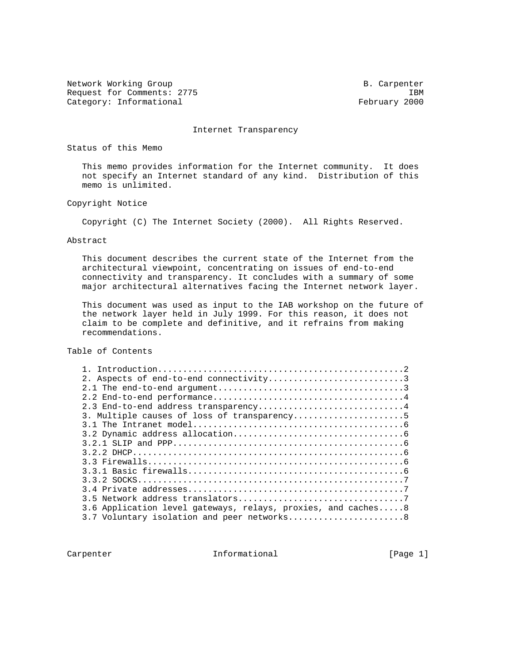Network Working Group **B.** Carpenter Request for Comments: 2775 IBM<br>
Category: Informational Stategory: Informational Stategory: Informational Stategory: Informational Stategory Category: Informational

Internet Transparency

Status of this Memo

 This memo provides information for the Internet community. It does not specify an Internet standard of any kind. Distribution of this memo is unlimited.

Copyright Notice

Copyright (C) The Internet Society (2000). All Rights Reserved.

Abstract

 This document describes the current state of the Internet from the architectural viewpoint, concentrating on issues of end-to-end connectivity and transparency. It concludes with a summary of some major architectural alternatives facing the Internet network layer.

 This document was used as input to the IAB workshop on the future of the network layer held in July 1999. For this reason, it does not claim to be complete and definitive, and it refrains from making recommendations.

Table of Contents

| 2. Aspects of end-to-end connectivity3                       |
|--------------------------------------------------------------|
|                                                              |
|                                                              |
| 2.3 End-to-end address transparency4                         |
| 3. Multiple causes of loss of transparency5                  |
|                                                              |
|                                                              |
|                                                              |
|                                                              |
|                                                              |
|                                                              |
|                                                              |
|                                                              |
|                                                              |
| 3.6 Application level gateways, relays, proxies, and caches8 |
| 3.7 Voluntary isolation and peer networks8                   |
|                                                              |

Carpenter **Informational** Informational [Page 1]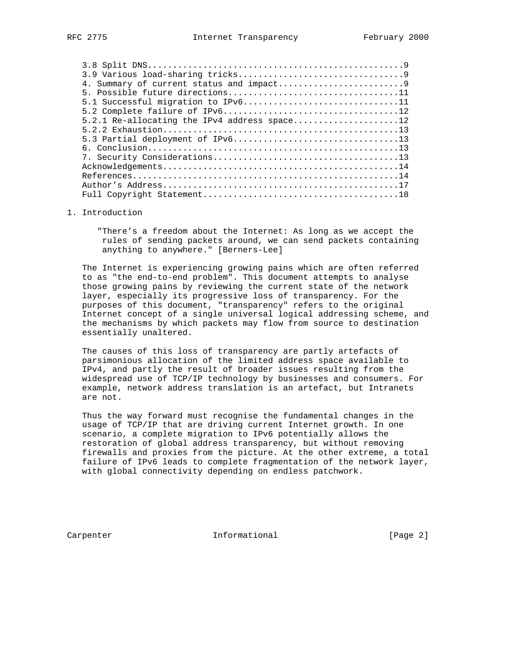| 5. Possible future directions11    |
|------------------------------------|
| 5.1 Successful migration to IPv611 |
|                                    |
|                                    |
|                                    |
| 5.3 Partial deployment of IPv613   |
|                                    |
|                                    |
|                                    |
|                                    |
|                                    |
|                                    |
|                                    |

## 1. Introduction

 "There's a freedom about the Internet: As long as we accept the rules of sending packets around, we can send packets containing anything to anywhere." [Berners-Lee]

 The Internet is experiencing growing pains which are often referred to as "the end-to-end problem". This document attempts to analyse those growing pains by reviewing the current state of the network layer, especially its progressive loss of transparency. For the purposes of this document, "transparency" refers to the original Internet concept of a single universal logical addressing scheme, and the mechanisms by which packets may flow from source to destination essentially unaltered.

 The causes of this loss of transparency are partly artefacts of parsimonious allocation of the limited address space available to IPv4, and partly the result of broader issues resulting from the widespread use of TCP/IP technology by businesses and consumers. For example, network address translation is an artefact, but Intranets are not.

 Thus the way forward must recognise the fundamental changes in the usage of TCP/IP that are driving current Internet growth. In one scenario, a complete migration to IPv6 potentially allows the restoration of global address transparency, but without removing firewalls and proxies from the picture. At the other extreme, a total failure of IPv6 leads to complete fragmentation of the network layer, with global connectivity depending on endless patchwork.

Carpenter **Informational** Informational [Page 2]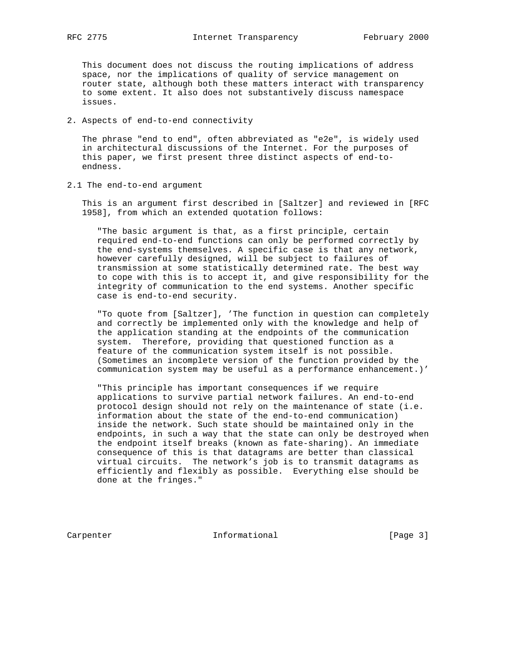This document does not discuss the routing implications of address space, nor the implications of quality of service management on router state, although both these matters interact with transparency to some extent. It also does not substantively discuss namespace issues.

2. Aspects of end-to-end connectivity

 The phrase "end to end", often abbreviated as "e2e", is widely used in architectural discussions of the Internet. For the purposes of this paper, we first present three distinct aspects of end-to endness.

2.1 The end-to-end argument

 This is an argument first described in [Saltzer] and reviewed in [RFC 1958], from which an extended quotation follows:

 "The basic argument is that, as a first principle, certain required end-to-end functions can only be performed correctly by the end-systems themselves. A specific case is that any network, however carefully designed, will be subject to failures of transmission at some statistically determined rate. The best way to cope with this is to accept it, and give responsibility for the integrity of communication to the end systems. Another specific case is end-to-end security.

 "To quote from [Saltzer], 'The function in question can completely and correctly be implemented only with the knowledge and help of the application standing at the endpoints of the communication system. Therefore, providing that questioned function as a feature of the communication system itself is not possible. (Sometimes an incomplete version of the function provided by the communication system may be useful as a performance enhancement.)'

 "This principle has important consequences if we require applications to survive partial network failures. An end-to-end protocol design should not rely on the maintenance of state (i.e. information about the state of the end-to-end communication) inside the network. Such state should be maintained only in the endpoints, in such a way that the state can only be destroyed when the endpoint itself breaks (known as fate-sharing). An immediate consequence of this is that datagrams are better than classical virtual circuits. The network's job is to transmit datagrams as efficiently and flexibly as possible. Everything else should be done at the fringes."

Carpenter 1nformational [Page 3]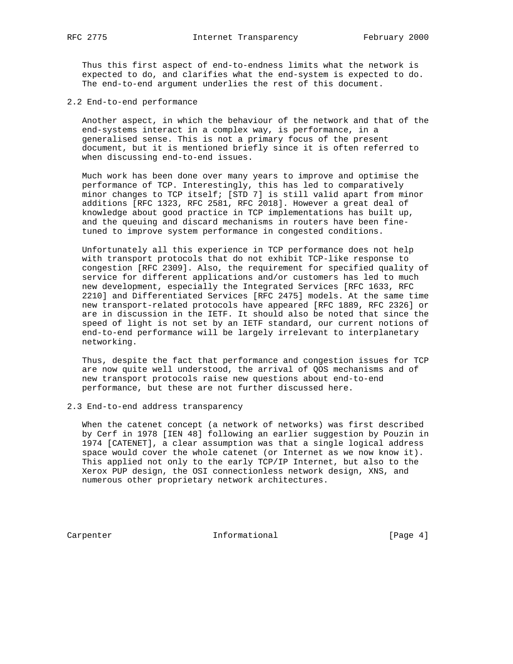Thus this first aspect of end-to-endness limits what the network is expected to do, and clarifies what the end-system is expected to do. The end-to-end argument underlies the rest of this document.

2.2 End-to-end performance

 Another aspect, in which the behaviour of the network and that of the end-systems interact in a complex way, is performance, in a generalised sense. This is not a primary focus of the present document, but it is mentioned briefly since it is often referred to when discussing end-to-end issues.

 Much work has been done over many years to improve and optimise the performance of TCP. Interestingly, this has led to comparatively minor changes to TCP itself; [STD 7] is still valid apart from minor additions [RFC 1323, RFC 2581, RFC 2018]. However a great deal of knowledge about good practice in TCP implementations has built up, and the queuing and discard mechanisms in routers have been fine tuned to improve system performance in congested conditions.

 Unfortunately all this experience in TCP performance does not help with transport protocols that do not exhibit TCP-like response to congestion [RFC 2309]. Also, the requirement for specified quality of service for different applications and/or customers has led to much new development, especially the Integrated Services [RFC 1633, RFC 2210] and Differentiated Services [RFC 2475] models. At the same time new transport-related protocols have appeared [RFC 1889, RFC 2326] or are in discussion in the IETF. It should also be noted that since the speed of light is not set by an IETF standard, our current notions of end-to-end performance will be largely irrelevant to interplanetary networking.

 Thus, despite the fact that performance and congestion issues for TCP are now quite well understood, the arrival of QOS mechanisms and of new transport protocols raise new questions about end-to-end performance, but these are not further discussed here.

2.3 End-to-end address transparency

 When the catenet concept (a network of networks) was first described by Cerf in 1978 [IEN 48] following an earlier suggestion by Pouzin in 1974 [CATENET], a clear assumption was that a single logical address space would cover the whole catenet (or Internet as we now know it). This applied not only to the early TCP/IP Internet, but also to the Xerox PUP design, the OSI connectionless network design, XNS, and numerous other proprietary network architectures.

Carpenter 10 Informational 100 Informational [Page 4]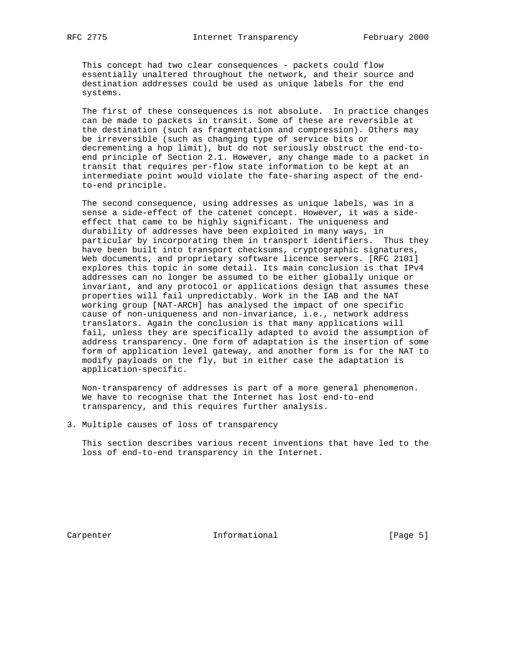This concept had two clear consequences - packets could flow essentially unaltered throughout the network, and their source and destination addresses could be used as unique labels for the end systems.

 The first of these consequences is not absolute. In practice changes can be made to packets in transit. Some of these are reversible at the destination (such as fragmentation and compression). Others may be irreversible (such as changing type of service bits or decrementing a hop limit), but do not seriously obstruct the end-to end principle of Section 2.1. However, any change made to a packet in transit that requires per-flow state information to be kept at an intermediate point would violate the fate-sharing aspect of the end to-end principle.

 The second consequence, using addresses as unique labels, was in a sense a side-effect of the catenet concept. However, it was a side effect that came to be highly significant. The uniqueness and durability of addresses have been exploited in many ways, in particular by incorporating them in transport identifiers. Thus they have been built into transport checksums, cryptographic signatures, Web documents, and proprietary software licence servers. [RFC 2101] explores this topic in some detail. Its main conclusion is that IPv4 addresses can no longer be assumed to be either globally unique or invariant, and any protocol or applications design that assumes these properties will fail unpredictably. Work in the IAB and the NAT working group [NAT-ARCH] has analysed the impact of one specific cause of non-uniqueness and non-invariance, i.e., network address translators. Again the conclusion is that many applications will fail, unless they are specifically adapted to avoid the assumption of address transparency. One form of adaptation is the insertion of some form of application level gateway, and another form is for the NAT to modify payloads on the fly, but in either case the adaptation is application-specific.

 Non-transparency of addresses is part of a more general phenomenon. We have to recognise that the Internet has lost end-to-end transparency, and this requires further analysis.

3. Multiple causes of loss of transparency

 This section describes various recent inventions that have led to the loss of end-to-end transparency in the Internet.

Carpenter 11 Informational 11 [Page 5]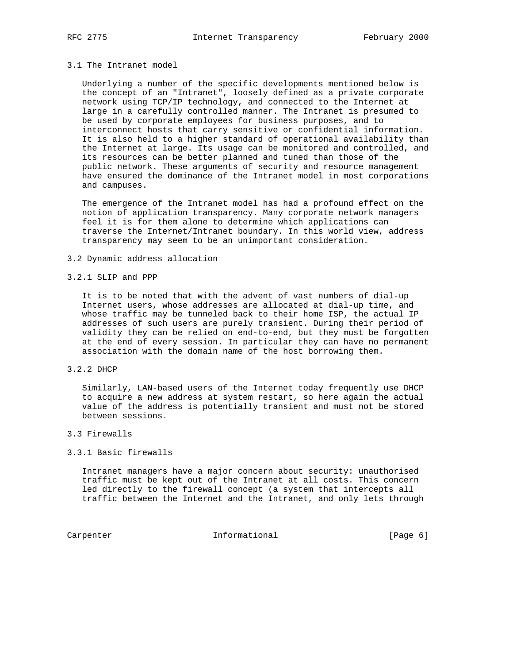# 3.1 The Intranet model

 Underlying a number of the specific developments mentioned below is the concept of an "Intranet", loosely defined as a private corporate network using TCP/IP technology, and connected to the Internet at large in a carefully controlled manner. The Intranet is presumed to be used by corporate employees for business purposes, and to interconnect hosts that carry sensitive or confidential information. It is also held to a higher standard of operational availability than the Internet at large. Its usage can be monitored and controlled, and its resources can be better planned and tuned than those of the public network. These arguments of security and resource management have ensured the dominance of the Intranet model in most corporations and campuses.

 The emergence of the Intranet model has had a profound effect on the notion of application transparency. Many corporate network managers feel it is for them alone to determine which applications can traverse the Internet/Intranet boundary. In this world view, address transparency may seem to be an unimportant consideration.

## 3.2 Dynamic address allocation

## 3.2.1 SLIP and PPP

 It is to be noted that with the advent of vast numbers of dial-up Internet users, whose addresses are allocated at dial-up time, and whose traffic may be tunneled back to their home ISP, the actual IP addresses of such users are purely transient. During their period of validity they can be relied on end-to-end, but they must be forgotten at the end of every session. In particular they can have no permanent association with the domain name of the host borrowing them.

### 3.2.2 DHCP

 Similarly, LAN-based users of the Internet today frequently use DHCP to acquire a new address at system restart, so here again the actual value of the address is potentially transient and must not be stored between sessions.

# 3.3 Firewalls

## 3.3.1 Basic firewalls

 Intranet managers have a major concern about security: unauthorised traffic must be kept out of the Intranet at all costs. This concern led directly to the firewall concept (a system that intercepts all traffic between the Internet and the Intranet, and only lets through

Carpenter 10 Informational 10 [Page 6]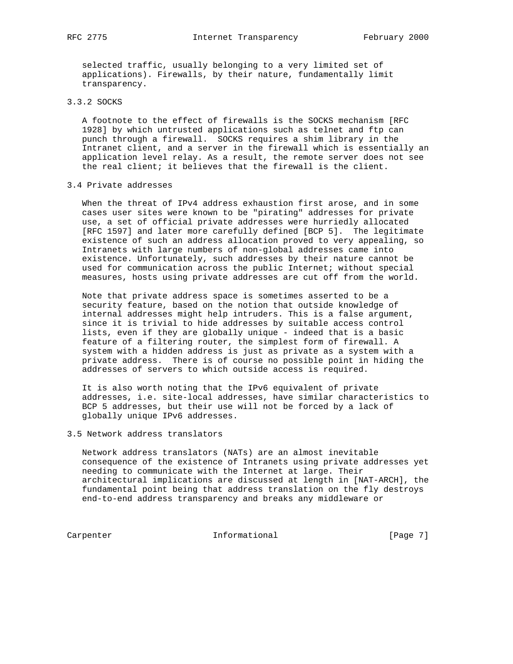RFC 2775 **Internet Transparency** February 2000

 selected traffic, usually belonging to a very limited set of applications). Firewalls, by their nature, fundamentally limit transparency.

# 3.3.2 SOCKS

 A footnote to the effect of firewalls is the SOCKS mechanism [RFC 1928] by which untrusted applications such as telnet and ftp can punch through a firewall. SOCKS requires a shim library in the Intranet client, and a server in the firewall which is essentially an application level relay. As a result, the remote server does not see the real client; it believes that the firewall is the client.

## 3.4 Private addresses

 When the threat of IPv4 address exhaustion first arose, and in some cases user sites were known to be "pirating" addresses for private use, a set of official private addresses were hurriedly allocated [RFC 1597] and later more carefully defined [BCP 5]. The legitimate existence of such an address allocation proved to very appealing, so Intranets with large numbers of non-global addresses came into existence. Unfortunately, such addresses by their nature cannot be used for communication across the public Internet; without special measures, hosts using private addresses are cut off from the world.

 Note that private address space is sometimes asserted to be a security feature, based on the notion that outside knowledge of internal addresses might help intruders. This is a false argument, since it is trivial to hide addresses by suitable access control lists, even if they are globally unique - indeed that is a basic feature of a filtering router, the simplest form of firewall. A system with a hidden address is just as private as a system with a private address. There is of course no possible point in hiding the addresses of servers to which outside access is required.

 It is also worth noting that the IPv6 equivalent of private addresses, i.e. site-local addresses, have similar characteristics to BCP 5 addresses, but their use will not be forced by a lack of globally unique IPv6 addresses.

## 3.5 Network address translators

 Network address translators (NATs) are an almost inevitable consequence of the existence of Intranets using private addresses yet needing to communicate with the Internet at large. Their architectural implications are discussed at length in [NAT-ARCH], the fundamental point being that address translation on the fly destroys end-to-end address transparency and breaks any middleware or

Carpenter 10 Informational 100 Informational [Page 7]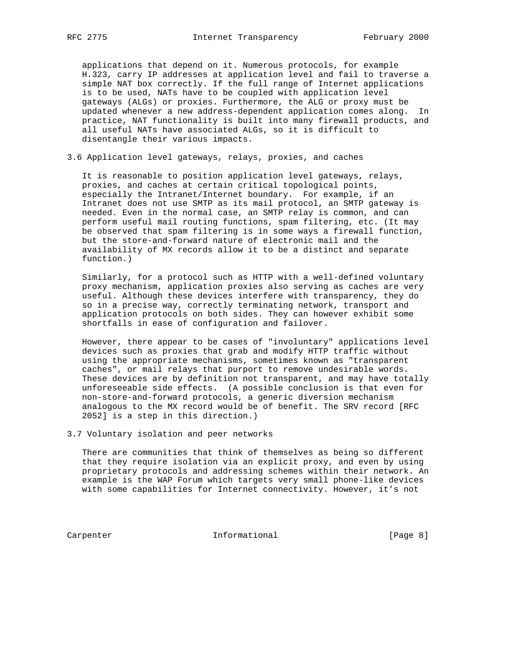applications that depend on it. Numerous protocols, for example H.323, carry IP addresses at application level and fail to traverse a simple NAT box correctly. If the full range of Internet applications is to be used, NATs have to be coupled with application level gateways (ALGs) or proxies. Furthermore, the ALG or proxy must be updated whenever a new address-dependent application comes along. In practice, NAT functionality is built into many firewall products, and all useful NATs have associated ALGs, so it is difficult to disentangle their various impacts.

3.6 Application level gateways, relays, proxies, and caches

 It is reasonable to position application level gateways, relays, proxies, and caches at certain critical topological points, especially the Intranet/Internet boundary. For example, if an Intranet does not use SMTP as its mail protocol, an SMTP gateway is needed. Even in the normal case, an SMTP relay is common, and can perform useful mail routing functions, spam filtering, etc. (It may be observed that spam filtering is in some ways a firewall function, but the store-and-forward nature of electronic mail and the availability of MX records allow it to be a distinct and separate function.)

 Similarly, for a protocol such as HTTP with a well-defined voluntary proxy mechanism, application proxies also serving as caches are very useful. Although these devices interfere with transparency, they do so in a precise way, correctly terminating network, transport and application protocols on both sides. They can however exhibit some shortfalls in ease of configuration and failover.

 However, there appear to be cases of "involuntary" applications level devices such as proxies that grab and modify HTTP traffic without using the appropriate mechanisms, sometimes known as "transparent caches", or mail relays that purport to remove undesirable words. These devices are by definition not transparent, and may have totally unforeseeable side effects. (A possible conclusion is that even for non-store-and-forward protocols, a generic diversion mechanism analogous to the MX record would be of benefit. The SRV record [RFC 2052] is a step in this direction.)

3.7 Voluntary isolation and peer networks

 There are communities that think of themselves as being so different that they require isolation via an explicit proxy, and even by using proprietary protocols and addressing schemes within their network. An example is the WAP Forum which targets very small phone-like devices with some capabilities for Internet connectivity. However, it's not

Carpenter Informational [Page 8]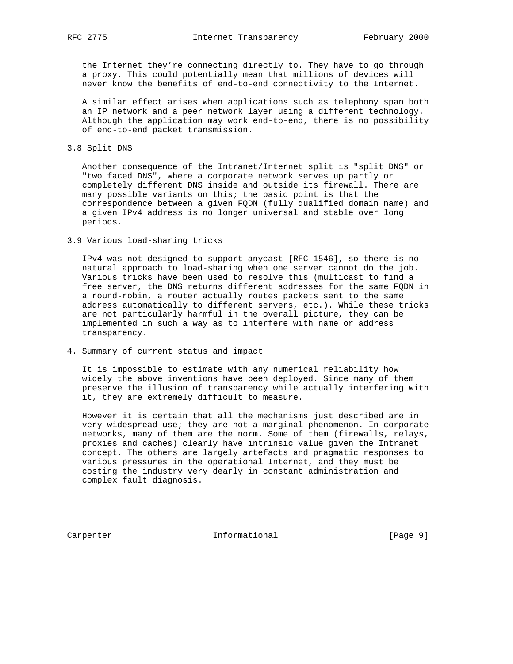the Internet they're connecting directly to. They have to go through a proxy. This could potentially mean that millions of devices will never know the benefits of end-to-end connectivity to the Internet.

 A similar effect arises when applications such as telephony span both an IP network and a peer network layer using a different technology. Although the application may work end-to-end, there is no possibility of end-to-end packet transmission.

3.8 Split DNS

 Another consequence of the Intranet/Internet split is "split DNS" or "two faced DNS", where a corporate network serves up partly or completely different DNS inside and outside its firewall. There are many possible variants on this; the basic point is that the correspondence between a given FQDN (fully qualified domain name) and a given IPv4 address is no longer universal and stable over long periods.

3.9 Various load-sharing tricks

 IPv4 was not designed to support anycast [RFC 1546], so there is no natural approach to load-sharing when one server cannot do the job. Various tricks have been used to resolve this (multicast to find a free server, the DNS returns different addresses for the same FQDN in a round-robin, a router actually routes packets sent to the same address automatically to different servers, etc.). While these tricks are not particularly harmful in the overall picture, they can be implemented in such a way as to interfere with name or address transparency.

4. Summary of current status and impact

 It is impossible to estimate with any numerical reliability how widely the above inventions have been deployed. Since many of them preserve the illusion of transparency while actually interfering with it, they are extremely difficult to measure.

 However it is certain that all the mechanisms just described are in very widespread use; they are not a marginal phenomenon. In corporate networks, many of them are the norm. Some of them (firewalls, relays, proxies and caches) clearly have intrinsic value given the Intranet concept. The others are largely artefacts and pragmatic responses to various pressures in the operational Internet, and they must be costing the industry very dearly in constant administration and complex fault diagnosis.

Carpenter 1nformational [Page 9]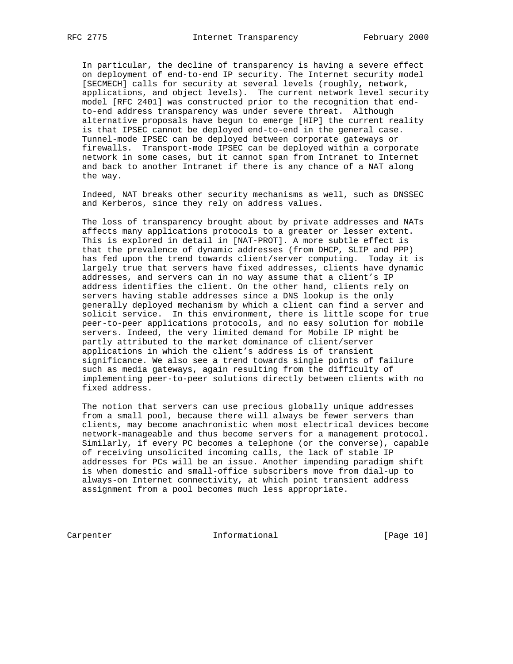In particular, the decline of transparency is having a severe effect on deployment of end-to-end IP security. The Internet security model [SECMECH] calls for security at several levels (roughly, network, applications, and object levels). The current network level security model [RFC 2401] was constructed prior to the recognition that end to-end address transparency was under severe threat. Although alternative proposals have begun to emerge [HIP] the current reality is that IPSEC cannot be deployed end-to-end in the general case. Tunnel-mode IPSEC can be deployed between corporate gateways or firewalls. Transport-mode IPSEC can be deployed within a corporate network in some cases, but it cannot span from Intranet to Internet and back to another Intranet if there is any chance of a NAT along the way.

 Indeed, NAT breaks other security mechanisms as well, such as DNSSEC and Kerberos, since they rely on address values.

 The loss of transparency brought about by private addresses and NATs affects many applications protocols to a greater or lesser extent. This is explored in detail in [NAT-PROT]. A more subtle effect is that the prevalence of dynamic addresses (from DHCP, SLIP and PPP) has fed upon the trend towards client/server computing. Today it is largely true that servers have fixed addresses, clients have dynamic addresses, and servers can in no way assume that a client's IP address identifies the client. On the other hand, clients rely on servers having stable addresses since a DNS lookup is the only generally deployed mechanism by which a client can find a server and solicit service. In this environment, there is little scope for true peer-to-peer applications protocols, and no easy solution for mobile servers. Indeed, the very limited demand for Mobile IP might be partly attributed to the market dominance of client/server applications in which the client's address is of transient significance. We also see a trend towards single points of failure such as media gateways, again resulting from the difficulty of implementing peer-to-peer solutions directly between clients with no fixed address.

 The notion that servers can use precious globally unique addresses from a small pool, because there will always be fewer servers than clients, may become anachronistic when most electrical devices become network-manageable and thus become servers for a management protocol. Similarly, if every PC becomes a telephone (or the converse), capable of receiving unsolicited incoming calls, the lack of stable IP addresses for PCs will be an issue. Another impending paradigm shift is when domestic and small-office subscribers move from dial-up to always-on Internet connectivity, at which point transient address assignment from a pool becomes much less appropriate.

Carpenter Informational [Page 10]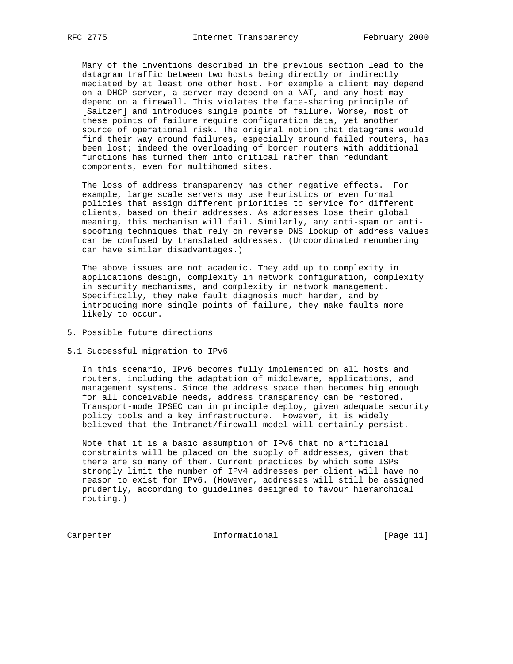Many of the inventions described in the previous section lead to the datagram traffic between two hosts being directly or indirectly mediated by at least one other host. For example a client may depend on a DHCP server, a server may depend on a NAT, and any host may depend on a firewall. This violates the fate-sharing principle of [Saltzer] and introduces single points of failure. Worse, most of these points of failure require configuration data, yet another source of operational risk. The original notion that datagrams would find their way around failures, especially around failed routers, has been lost; indeed the overloading of border routers with additional functions has turned them into critical rather than redundant components, even for multihomed sites.

 The loss of address transparency has other negative effects. For example, large scale servers may use heuristics or even formal policies that assign different priorities to service for different clients, based on their addresses. As addresses lose their global meaning, this mechanism will fail. Similarly, any anti-spam or anti spoofing techniques that rely on reverse DNS lookup of address values can be confused by translated addresses. (Uncoordinated renumbering can have similar disadvantages.)

 The above issues are not academic. They add up to complexity in applications design, complexity in network configuration, complexity in security mechanisms, and complexity in network management. Specifically, they make fault diagnosis much harder, and by introducing more single points of failure, they make faults more likely to occur.

- 5. Possible future directions
- 5.1 Successful migration to IPv6

 In this scenario, IPv6 becomes fully implemented on all hosts and routers, including the adaptation of middleware, applications, and management systems. Since the address space then becomes big enough for all conceivable needs, address transparency can be restored. Transport-mode IPSEC can in principle deploy, given adequate security policy tools and a key infrastructure. However, it is widely believed that the Intranet/firewall model will certainly persist.

 Note that it is a basic assumption of IPv6 that no artificial constraints will be placed on the supply of addresses, given that there are so many of them. Current practices by which some ISPs strongly limit the number of IPv4 addresses per client will have no reason to exist for IPv6. (However, addresses will still be assigned prudently, according to guidelines designed to favour hierarchical routing.)

Carpenter 11 Informational [Page 11]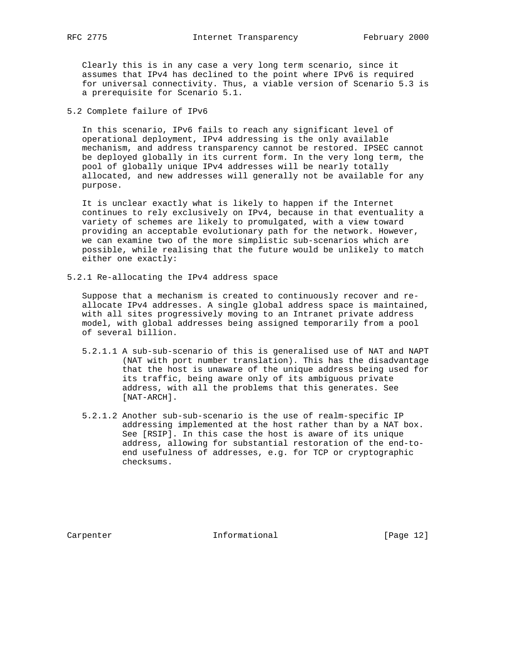Clearly this is in any case a very long term scenario, since it assumes that IPv4 has declined to the point where IPv6 is required for universal connectivity. Thus, a viable version of Scenario 5.3 is a prerequisite for Scenario 5.1.

5.2 Complete failure of IPv6

 In this scenario, IPv6 fails to reach any significant level of operational deployment, IPv4 addressing is the only available mechanism, and address transparency cannot be restored. IPSEC cannot be deployed globally in its current form. In the very long term, the pool of globally unique IPv4 addresses will be nearly totally allocated, and new addresses will generally not be available for any purpose.

 It is unclear exactly what is likely to happen if the Internet continues to rely exclusively on IPv4, because in that eventuality a variety of schemes are likely to promulgated, with a view toward providing an acceptable evolutionary path for the network. However, we can examine two of the more simplistic sub-scenarios which are possible, while realising that the future would be unlikely to match either one exactly:

5.2.1 Re-allocating the IPv4 address space

 Suppose that a mechanism is created to continuously recover and re allocate IPv4 addresses. A single global address space is maintained, with all sites progressively moving to an Intranet private address model, with global addresses being assigned temporarily from a pool of several billion.

- 5.2.1.1 A sub-sub-scenario of this is generalised use of NAT and NAPT (NAT with port number translation). This has the disadvantage that the host is unaware of the unique address being used for its traffic, being aware only of its ambiguous private address, with all the problems that this generates. See [NAT-ARCH].
- 5.2.1.2 Another sub-sub-scenario is the use of realm-specific IP addressing implemented at the host rather than by a NAT box. See [RSIP]. In this case the host is aware of its unique address, allowing for substantial restoration of the end-to end usefulness of addresses, e.g. for TCP or cryptographic checksums.

Carpenter Informational [Page 12]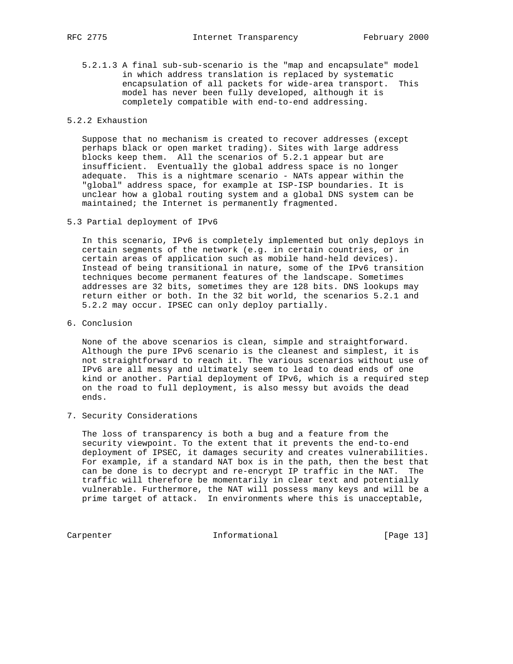5.2.1.3 A final sub-sub-scenario is the "map and encapsulate" model in which address translation is replaced by systematic encapsulation of all packets for wide-area transport. This model has never been fully developed, although it is completely compatible with end-to-end addressing.

## 5.2.2 Exhaustion

 Suppose that no mechanism is created to recover addresses (except perhaps black or open market trading). Sites with large address blocks keep them. All the scenarios of 5.2.1 appear but are insufficient. Eventually the global address space is no longer adequate. This is a nightmare scenario - NATs appear within the "global" address space, for example at ISP-ISP boundaries. It is unclear how a global routing system and a global DNS system can be maintained; the Internet is permanently fragmented.

5.3 Partial deployment of IPv6

 In this scenario, IPv6 is completely implemented but only deploys in certain segments of the network (e.g. in certain countries, or in certain areas of application such as mobile hand-held devices). Instead of being transitional in nature, some of the IPv6 transition techniques become permanent features of the landscape. Sometimes addresses are 32 bits, sometimes they are 128 bits. DNS lookups may return either or both. In the 32 bit world, the scenarios 5.2.1 and 5.2.2 may occur. IPSEC can only deploy partially.

6. Conclusion

 None of the above scenarios is clean, simple and straightforward. Although the pure IPv6 scenario is the cleanest and simplest, it is not straightforward to reach it. The various scenarios without use of IPv6 are all messy and ultimately seem to lead to dead ends of one kind or another. Partial deployment of IPv6, which is a required step on the road to full deployment, is also messy but avoids the dead ends.

7. Security Considerations

 The loss of transparency is both a bug and a feature from the security viewpoint. To the extent that it prevents the end-to-end deployment of IPSEC, it damages security and creates vulnerabilities. For example, if a standard NAT box is in the path, then the best that can be done is to decrypt and re-encrypt IP traffic in the NAT. The traffic will therefore be momentarily in clear text and potentially vulnerable. Furthermore, the NAT will possess many keys and will be a prime target of attack. In environments where this is unacceptable,

Carpenter 1111 Informational 1111 [Page 13]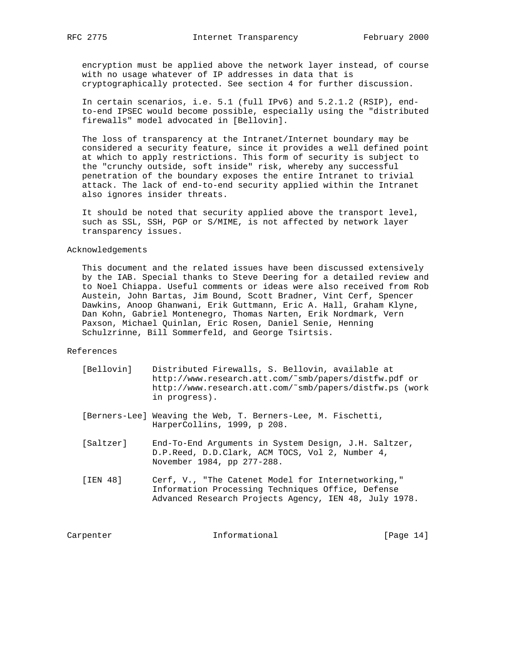encryption must be applied above the network layer instead, of course with no usage whatever of IP addresses in data that is cryptographically protected. See section 4 for further discussion.

 In certain scenarios, i.e. 5.1 (full IPv6) and 5.2.1.2 (RSIP), end to-end IPSEC would become possible, especially using the "distributed firewalls" model advocated in [Bellovin].

 The loss of transparency at the Intranet/Internet boundary may be considered a security feature, since it provides a well defined point at which to apply restrictions. This form of security is subject to the "crunchy outside, soft inside" risk, whereby any successful penetration of the boundary exposes the entire Intranet to trivial attack. The lack of end-to-end security applied within the Intranet also ignores insider threats.

 It should be noted that security applied above the transport level, such as SSL, SSH, PGP or S/MIME, is not affected by network layer transparency issues.

### Acknowledgements

 This document and the related issues have been discussed extensively by the IAB. Special thanks to Steve Deering for a detailed review and to Noel Chiappa. Useful comments or ideas were also received from Rob Austein, John Bartas, Jim Bound, Scott Bradner, Vint Cerf, Spencer Dawkins, Anoop Ghanwani, Erik Guttmann, Eric A. Hall, Graham Klyne, Dan Kohn, Gabriel Montenegro, Thomas Narten, Erik Nordmark, Vern Paxson, Michael Quinlan, Eric Rosen, Daniel Senie, Henning Schulzrinne, Bill Sommerfeld, and George Tsirtsis.

### References

| [Bellovin] | Distributed Firewalls, S. Bellovin, available at        |
|------------|---------------------------------------------------------|
|            | http://www.research.att.com/~smb/papers/distfw.pdf or   |
|            | http://www.research.att.com/~smb/papers/distfw.ps (work |
|            | in progress).                                           |

- [Berners-Lee] Weaving the Web, T. Berners-Lee, M. Fischetti, HarperCollins, 1999, p 208.
- [Saltzer] End-To-End Arguments in System Design, J.H. Saltzer, D.P.Reed, D.D.Clark, ACM TOCS, Vol 2, Number 4, November 1984, pp 277-288.
- [IEN 48] Cerf, V., "The Catenet Model for Internetworking," Information Processing Techniques Office, Defense Advanced Research Projects Agency, IEN 48, July 1978.

Carpenter 14 Informational [Page 14]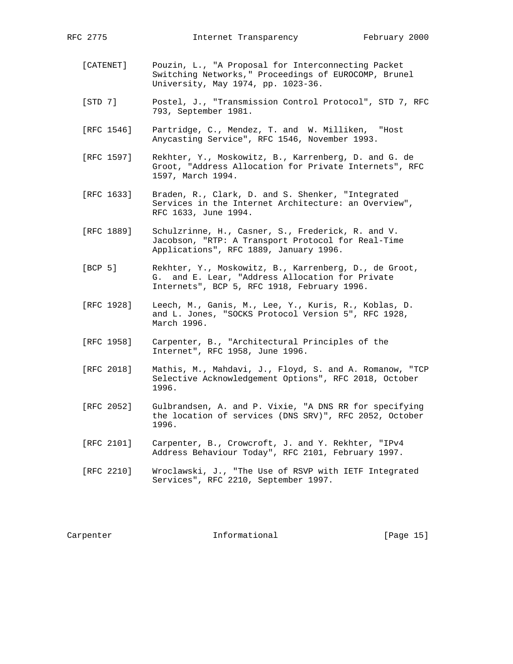- [CATENET] Pouzin, L., "A Proposal for Interconnecting Packet Switching Networks," Proceedings of EUROCOMP, Brunel University, May 1974, pp. 1023-36.
- [STD 7] Postel, J., "Transmission Control Protocol", STD 7, RFC 793, September 1981.
- [RFC 1546] Partridge, C., Mendez, T. and W. Milliken, "Host Anycasting Service", RFC 1546, November 1993.
- [RFC 1597] Rekhter, Y., Moskowitz, B., Karrenberg, D. and G. de Groot, "Address Allocation for Private Internets", RFC 1597, March 1994.
- [RFC 1633] Braden, R., Clark, D. and S. Shenker, "Integrated Services in the Internet Architecture: an Overview", RFC 1633, June 1994.
- [RFC 1889] Schulzrinne, H., Casner, S., Frederick, R. and V. Jacobson, "RTP: A Transport Protocol for Real-Time Applications", RFC 1889, January 1996.
- [BCP 5] Rekhter, Y., Moskowitz, B., Karrenberg, D., de Groot, G. and E. Lear, "Address Allocation for Private Internets", BCP 5, RFC 1918, February 1996.
- [RFC 1928] Leech, M., Ganis, M., Lee, Y., Kuris, R., Koblas, D. and L. Jones, "SOCKS Protocol Version 5", RFC 1928, March 1996.
- [RFC 1958] Carpenter, B., "Architectural Principles of the Internet", RFC 1958, June 1996.
- [RFC 2018] Mathis, M., Mahdavi, J., Floyd, S. and A. Romanow, "TCP Selective Acknowledgement Options", RFC 2018, October 1996.
- [RFC 2052] Gulbrandsen, A. and P. Vixie, "A DNS RR for specifying the location of services (DNS SRV)", RFC 2052, October 1996.
- [RFC 2101] Carpenter, B., Crowcroft, J. and Y. Rekhter, "IPv4 Address Behaviour Today", RFC 2101, February 1997.
- [RFC 2210] Wroclawski, J., "The Use of RSVP with IETF Integrated Services", RFC 2210, September 1997.

Carpenter **Informational** [Page 15]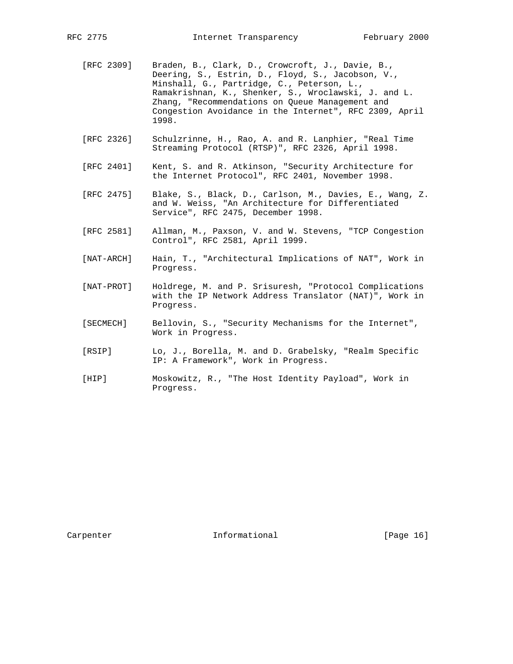- [RFC 2309] Braden, B., Clark, D., Crowcroft, J., Davie, B., Deering, S., Estrin, D., Floyd, S., Jacobson, V., Minshall, G., Partridge, C., Peterson, L., Ramakrishnan, K., Shenker, S., Wroclawski, J. and L. Zhang, "Recommendations on Queue Management and Congestion Avoidance in the Internet", RFC 2309, April 1998.
	- [RFC 2326] Schulzrinne, H., Rao, A. and R. Lanphier, "Real Time Streaming Protocol (RTSP)", RFC 2326, April 1998.
	- [RFC 2401] Kent, S. and R. Atkinson, "Security Architecture for the Internet Protocol", RFC 2401, November 1998.
	- [RFC 2475] Blake, S., Black, D., Carlson, M., Davies, E., Wang, Z. and W. Weiss, "An Architecture for Differentiated Service", RFC 2475, December 1998.
	- [RFC 2581] Allman, M., Paxson, V. and W. Stevens, "TCP Congestion Control", RFC 2581, April 1999.
	- [NAT-ARCH] Hain, T., "Architectural Implications of NAT", Work in Progress.
	- [NAT-PROT] Holdrege, M. and P. Srisuresh, "Protocol Complications with the IP Network Address Translator (NAT)", Work in Progress.
	- [SECMECH] Bellovin, S., "Security Mechanisms for the Internet", Work in Progress.
	- [RSIP] Lo, J., Borella, M. and D. Grabelsky, "Realm Specific IP: A Framework", Work in Progress.
	- [HIP] Moskowitz, R., "The Host Identity Payload", Work in Progress.

Carpenter **Informational** [Page 16]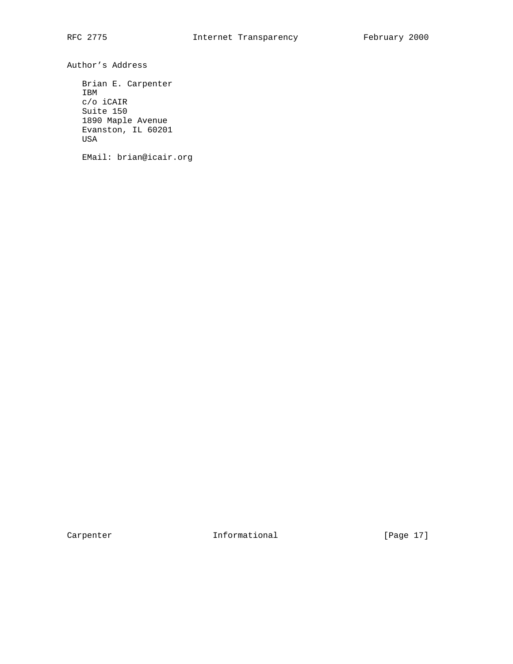Author's Address

 Brian E. Carpenter IBM c/o iCAIR Suite 150 1890 Maple Avenue Evanston, IL 60201 USA

EMail: brian@icair.org

Carpenter 1111 Informational 1111 [Page 17]